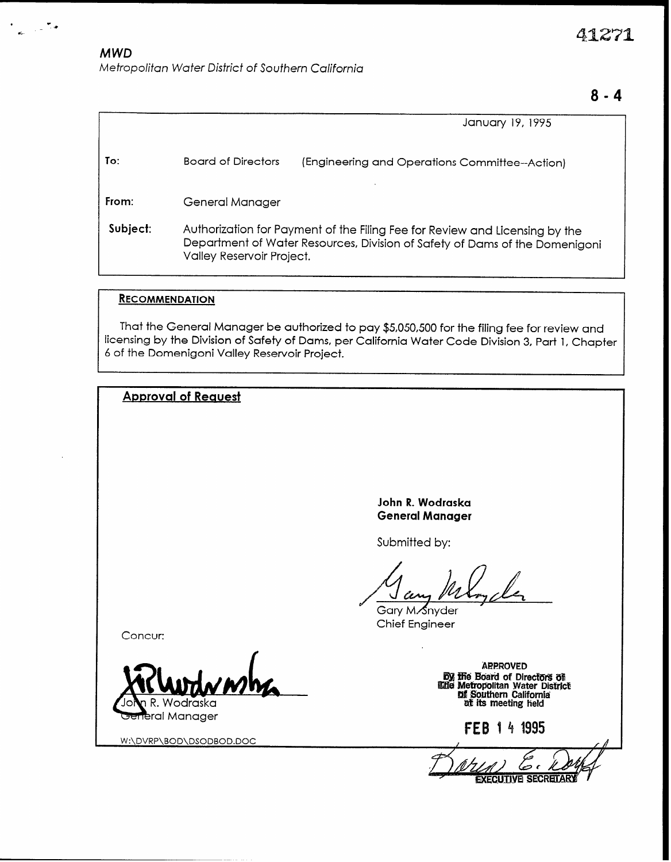41271

## **MWD**

 $\epsilon$ 

Metropolitan Water District of Southern California

# $8 - 4$

|          |                                                                                                                                                                                         | January 19, 1995                              |  |  |
|----------|-----------------------------------------------------------------------------------------------------------------------------------------------------------------------------------------|-----------------------------------------------|--|--|
| To:      | Board of Directors                                                                                                                                                                      | (Engineering and Operations Committee-Action) |  |  |
| From:    | General Manager                                                                                                                                                                         |                                               |  |  |
| Subject: | Authorization for Payment of the Filing Fee for Review and Licensing by the<br>Department of Water Resources, Division of Safety of Dams of the Domenigoni<br>Valley Reservoir Project. |                                               |  |  |

## **RECOMMENDATION**

That the General Manager be authorized to pay \$5,050,500 for the filing fee for review and licensing by the Division of Safety of Dams, per California Water Code Division 3, Part 1, Chapter 6 of the Domenigoni Valley Reservoir Project.

| <b>Approval of Request</b>                 |                                                                                                                                                                                                 |
|--------------------------------------------|-------------------------------------------------------------------------------------------------------------------------------------------------------------------------------------------------|
|                                            |                                                                                                                                                                                                 |
|                                            |                                                                                                                                                                                                 |
|                                            |                                                                                                                                                                                                 |
|                                            |                                                                                                                                                                                                 |
|                                            | John R. Wodraska<br><b>General Manager</b>                                                                                                                                                      |
|                                            | Submitted by:                                                                                                                                                                                   |
|                                            | Gary M. Snyder<br><b>Chief Engineer</b>                                                                                                                                                         |
| Concur:                                    |                                                                                                                                                                                                 |
| Jolan R. Wodraska                          | <b>APPROVED</b><br><b>By the Board of Directors of Elie Metropolitan Water District of Southern California</b><br><b>Continue of Southern California</b><br><b>Continue of its meeting held</b> |
| General Manager<br>W:\DVRP\BOD\DSODBOD.DOC | 4 1995<br>FEB                                                                                                                                                                                   |
|                                            | <b>EXECUTIVE SECRETAR</b>                                                                                                                                                                       |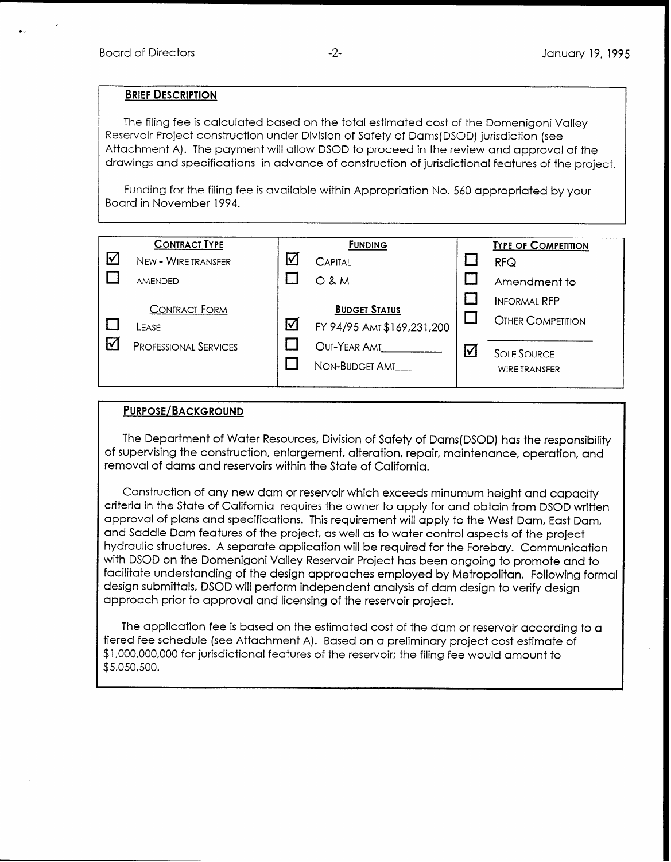#### BRIEF DESCRIPTION

The filing fee is calculated based on the total estimated cost of the Domenigoni Valley Reservoir Project construction under Division of Safety of Dams(DSOD) jurisdiction (see Attachment A). The payment will allow DSOD to proceed in the review and approval of the drawings and specifications in advance of construction of jurisdictional features of the project.

Funding for the filing fee is available within Appropriation No. 560 appropriated by your Board in November 1994.

|                 | <b>CONTRACT TYPE</b>          |   | <b>FUNDING</b>                                     |    | <b>TYPE OF COMPETITION</b>                      |
|-----------------|-------------------------------|---|----------------------------------------------------|----|-------------------------------------------------|
| $\triangledown$ | NEW - WIRE TRANSFER           | v | <b>CAPITAL</b>                                     |    | <b>RFQ</b>                                      |
|                 | <b>AMENDED</b>                |   | $O$ & $M$                                          |    | Amendment to                                    |
|                 | <b>CONTRACT FORM</b><br>LEASE | ⊻ | <b>BUDGET STATUS</b><br>FY 94/95 AMT \$169,231,200 |    | <b>INFORMAL RFP</b><br><b>OTHER COMPETITION</b> |
|                 | <b>PROFESSIONAL SERVICES</b>  |   | OUT-YEAR AMT<br>NON-BUDGET AMT                     | ١v | <b>SOLE SOURCE</b><br><b>WIRE TRANSFER</b>      |

## PURPOSE/BACKGROUND

The Department of Water Resources, Division of Safety of Dams(DSOD) has the responsibility of supervising the construction, enlargement, alteration, repair, maintenance, operation, and removal of dams and reservoirs within the State of California.

Construction of any new dam or reservoir which exceeds minumum height and capacity criteria in the State of California requires the owner to apply for and obtain from DSOD written approval of plans and specifications. This requirement will apply to the West Dam, East Dam, and Saddle Dam features of the project, as well as to water control aspects of the project hydraulic structures. A separate application will be required for the Forebay. Communication with DSOD on the Domenigoni Valley Reservoir Project has been ongoing to promote and to facilitate understanding of the design approaches employed by Metropolitan. Following formal design submittals, DSOD will perform independent analysis of dam design to verify design approach prior to approval and licensing of the reservoir project.

The application fee is based on the estimated cost of the dam or reservoir according to a tiered fee schedule (see Attachment A). Based on a preliminary project cost estimate of \$1 ,OOO,OOO,OOO for jurisdictional features of the reservoir: the filing fee would amount to \$5,050,500.